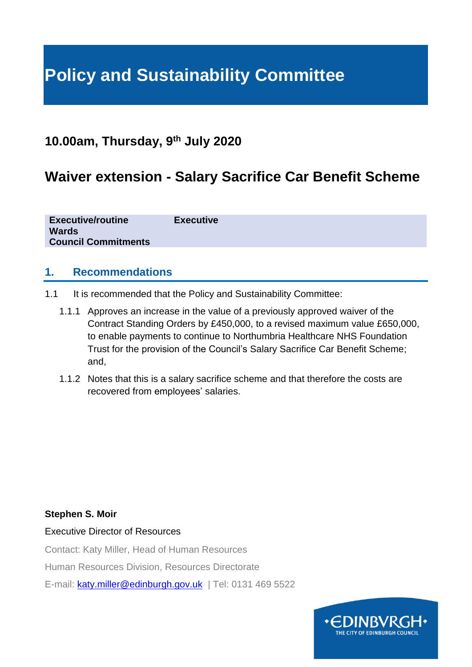# **Policy and Sustainability Committee**

### **10.00am, Thursday, 9th July 2020**

## **Waiver extension - Salary Sacrifice Car Benefit Scheme**

**Executive/routine Executive Wards Council Commitments**

#### **1. Recommendations**

- 1.1 It is recommended that the Policy and Sustainability Committee:
	- 1.1.1 Approves an increase in the value of a previously approved waiver of the Contract Standing Orders by £450,000, to a revised maximum value £650,000, to enable payments to continue to Northumbria Healthcare NHS Foundation Trust for the provision of the Council's Salary Sacrifice Car Benefit Scheme; and,
	- 1.1.2 Notes that this is a salary sacrifice scheme and that therefore the costs are recovered from employees' salaries.

#### **Stephen S. Moir**

#### Executive Director of Resources

Contact: Katy Miller, Head of Human Resources

Human Resources Division, Resources Directorate

E-mail: [katy.miller@edinburgh.gov.uk](mailto:katy.miller@edinburgh.gov.uk) | Tel: 0131 469 5522

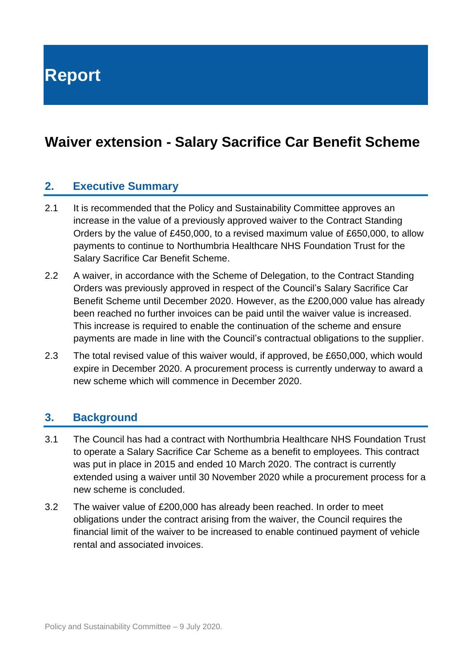**Report**

# **Waiver extension - Salary Sacrifice Car Benefit Scheme**

#### **2. Executive Summary**

- 2.1 It is recommended that the Policy and Sustainability Committee approves an increase in the value of a previously approved waiver to the Contract Standing Orders by the value of £450,000, to a revised maximum value of £650,000, to allow payments to continue to Northumbria Healthcare NHS Foundation Trust for the Salary Sacrifice Car Benefit Scheme.
- 2.2 A waiver, in accordance with the Scheme of Delegation, to the Contract Standing Orders was previously approved in respect of the Council's Salary Sacrifice Car Benefit Scheme until December 2020. However, as the £200,000 value has already been reached no further invoices can be paid until the waiver value is increased. This increase is required to enable the continuation of the scheme and ensure payments are made in line with the Council's contractual obligations to the supplier.
- 2.3 The total revised value of this waiver would, if approved, be £650,000, which would expire in December 2020. A procurement process is currently underway to award a new scheme which will commence in December 2020.

#### **3. Background**

- 3.1 The Council has had a contract with Northumbria Healthcare NHS Foundation Trust to operate a Salary Sacrifice Car Scheme as a benefit to employees. This contract was put in place in 2015 and ended 10 March 2020. The contract is currently extended using a waiver until 30 November 2020 while a procurement process for a new scheme is concluded.
- 3.2 The waiver value of £200,000 has already been reached. In order to meet obligations under the contract arising from the waiver, the Council requires the financial limit of the waiver to be increased to enable continued payment of vehicle rental and associated invoices.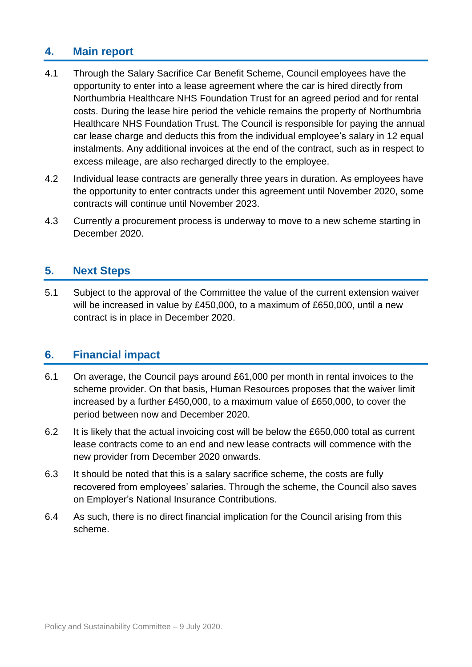### **4. Main report**

- 4.1 Through the Salary Sacrifice Car Benefit Scheme, Council employees have the opportunity to enter into a lease agreement where the car is hired directly from Northumbria Healthcare NHS Foundation Trust for an agreed period and for rental costs. During the lease hire period the vehicle remains the property of Northumbria Healthcare NHS Foundation Trust. The Council is responsible for paying the annual car lease charge and deducts this from the individual employee's salary in 12 equal instalments. Any additional invoices at the end of the contract, such as in respect to excess mileage, are also recharged directly to the employee.
- 4.2 Individual lease contracts are generally three years in duration. As employees have the opportunity to enter contracts under this agreement until November 2020, some contracts will continue until November 2023.
- 4.3 Currently a procurement process is underway to move to a new scheme starting in December 2020.

#### **5. Next Steps**

5.1 Subject to the approval of the Committee the value of the current extension waiver will be increased in value by £450,000, to a maximum of £650,000, until a new contract is in place in December 2020.

### **6. Financial impact**

- 6.1 On average, the Council pays around £61,000 per month in rental invoices to the scheme provider. On that basis, Human Resources proposes that the waiver limit increased by a further £450,000, to a maximum value of £650,000, to cover the period between now and December 2020.
- 6.2 It is likely that the actual invoicing cost will be below the £650,000 total as current lease contracts come to an end and new lease contracts will commence with the new provider from December 2020 onwards.
- 6.3 It should be noted that this is a salary sacrifice scheme, the costs are fully recovered from employees' salaries. Through the scheme, the Council also saves on Employer's National Insurance Contributions.
- 6.4 As such, there is no direct financial implication for the Council arising from this scheme.